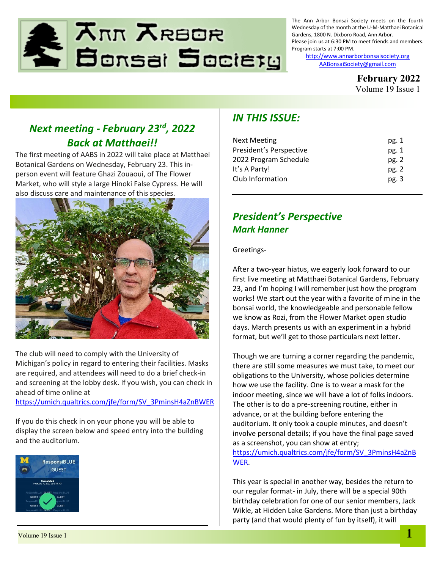

The Ann Arbor Bonsai Society meets on the fourth Wednesday of the month at the U-M-Matthaei Botanical Gardens, 1800 N. Dixboro Road, Ann Arbor. Please join us at 6:30 PM to meet friends and members. Program starts at 7:00 PM.

> [http://www.annarborbonsaisociety.org](http://www.annarborbonsaisociety.org/) [AABonsaiSociety@gmail.com](file://///psf/Host/Users/jbrianbyrd/Documents/For%20AABS/AABonsaiSociety@gmail.com)

> > **February 2022**

Volume 19 Issue 1

# *Next meeting - February 23rd, 2022 Back at Matthaei!!*

The first meeting of AABS in 2022 will take place at Matthaei Botanical Gardens on Wednesday, February 23. This inperson event will feature Ghazi Zouaoui, of The Flower Market, who will style a large Hinoki False Cypress. He will also discuss care and maintenance of this species.



The club will need to comply with the University of Michigan's policy in regard to entering their facilities. Masks are required, and attendees will need to do a brief check-in and screening at the lobby desk. If you wish, you can check in ahead of time online at

[https://umich.qualtrics.com/jfe/form/SV\\_3PminsH4aZnBWER](https://umich.qualtrics.com/jfe/form/SV_3PminsH4aZnBWER)

If you do this check in on your phone you will be able to display the screen below and speed entry into the building and the auditorium.



### *IN THIS ISSUE:*

| pg. 1 |
|-------|
| pg. 1 |
| pg.2  |
| pg.2  |
| pg. 3 |
|       |

### *President's Perspective Mark Hanner*

Greetings-

After a two-year hiatus, we eagerly look forward to our first live meeting at Matthaei Botanical Gardens, February 23, and I'm hoping I will remember just how the program works! We start out the year with a favorite of mine in the bonsai world, the knowledgeable and personable fellow we know as Rozi, from the Flower Market open studio days. March presents us with an experiment in a hybrid format, but we'll get to those particulars next letter.

Though we are turning a corner regarding the pandemic, there are still some measures we must take, to meet our obligations to the University, whose policies determine how we use the facility. One is to wear a mask for the indoor meeting, since we will have a lot of folks indoors. The other is to do a pre-screening routine, either in advance, or at the building before entering the auditorium. It only took a couple minutes, and doesn't involve personal details; if you have the final page saved as a screenshot, you can show at entry; [https://umich.qualtrics.com/jfe/form/SV\\_3PminsH4aZnB](https://umich.qualtrics.com/jfe/form/SV_3PminsH4aZnBWER) [WER.](https://umich.qualtrics.com/jfe/form/SV_3PminsH4aZnBWER)

This year is special in another way, besides the return to our regular format- in July, there will be a special 90th birthday celebration for one of our senior members, Jack Wikle, at Hidden Lake Gardens. More than just a birthday party (and that would plenty of fun by itself), it will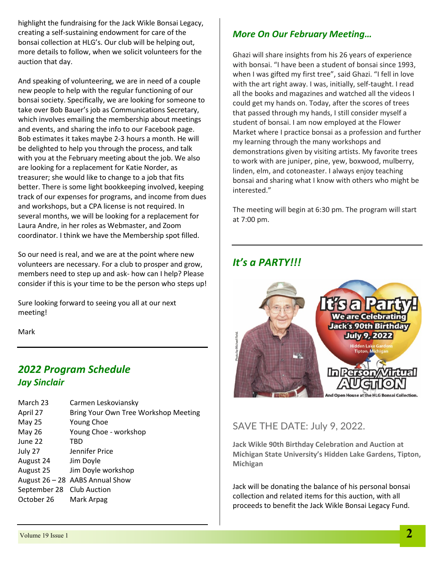highlight the fundraising for the Jack Wikle Bonsai Legacy, creating a self-sustaining endowment for care of the bonsai collection at HLG's. Our club will be helping out, more details to follow, when we solicit volunteers for the auction that day.

And speaking of volunteering, we are in need of a couple new people to help with the regular functioning of our bonsai society. Specifically, we are looking for someone to take over Bob Bauer's job as Communications Secretary, which involves emailing the membership about meetings and events, and sharing the info to our Facebook page. Bob estimates it takes maybe 2-3 hours a month. He will be delighted to help you through the process, and talk with you at the February meeting about the job. We also are looking for a replacement for Katie Norder, as treasurer; she would like to change to a job that fits better. There is some light bookkeeping involved, keeping track of our expenses for programs, and income from dues and workshops, but a CPA license is not required. In several months, we will be looking for a replacement for Laura Andre, in her roles as Webmaster, and Zoom coordinator. I think we have the Membership spot filled.

So our need is real, and we are at the point where new volunteers are necessary. For a club to prosper and grow, members need to step up and ask- how can I help? Please consider if this is your time to be the person who steps up!

Sure looking forward to seeing you all at our next meeting!

Mark

## *2022 Program Schedule Jay Sinclair*

| March 23                  | Carmen Leskoviansky                  |
|---------------------------|--------------------------------------|
| April 27                  | Bring Your Own Tree Workshop Meeting |
| <b>May 25</b>             | <b>Young Choe</b>                    |
| May 26                    | Young Choe - workshop                |
| June 22                   | TBD                                  |
| July 27                   | Jennifer Price                       |
| August 24                 | Jim Doyle                            |
| August 25                 | Jim Doyle workshop                   |
|                           | August 26 - 28 AABS Annual Show      |
| September 28 Club Auction |                                      |
| October 26                | Mark Arpag                           |
|                           |                                      |

#### *More On Our February Meeting…*

Ghazi will share insights from his 26 years of experience with bonsai. "I have been a student of bonsai since 1993, when I was gifted my first tree", said Ghazi. "I fell in love with the art right away. I was, initially, self-taught. I read all the books and magazines and watched all the videos I could get my hands on. Today, after the scores of trees that passed through my hands, I still consider myself a student of bonsai. I am now employed at the Flower Market where I practice bonsai as a profession and further my learning through the many workshops and demonstrations given by visiting artists. My favorite trees to work with are juniper, pine, yew, boxwood, mulberry, linden, elm, and cotoneaster. I always enjoy teaching bonsai and sharing what I know with others who might be interested."

The meeting will begin at 6:30 pm. The program will start at 7:00 pm.

## *It's a PARTY!!!*



#### SAVE THE DATE: July 9, 2022.

**Jack Wikle 90th Birthday Celebration and Auction at Michigan State University's Hidden Lake Gardens, Tipton, Michigan**

Jack will be donating the balance of his personal bonsai collection and related items for this auction, with all proceeds to benefit the Jack Wikle Bonsai Legacy Fund.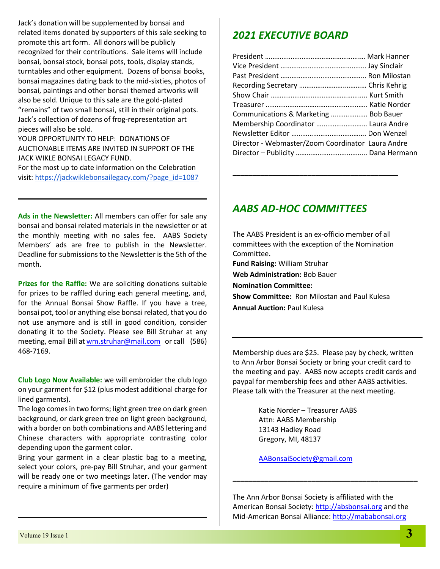Jack's donation will be supplemented by bonsai and related items donated by supporters of this sale seeking to promote this art form. All donors will be publicly recognized for their contributions. Sale items will include bonsai, bonsai stock, bonsai pots, tools, display stands, turntables and other equipment. Dozens of bonsai books, bonsai magazines dating back to the mid-sixties, photos of bonsai, paintings and other bonsai themed artworks will also be sold. Unique to this sale are the gold-plated "remains" of two small bonsai, still in their original pots. Jack's collection of dozens of frog-representation art pieces will also be sold.

YOUR OPPORTUNITY TO HELP: DONATIONS OF AUCTIONABLE ITEMS ARE INVITED IN SUPPORT OF THE JACK WIKLE BONSAI LEGACY FUND.

For the most up to date information on the Celebration visit: [https://jackwiklebonsailegacy.com/?page\\_id=1087](https://jackwiklebonsailegacy.com/?page_id=1087)

**Ads in the Newsletter:** All members can offer for sale any bonsai and bonsai related materials in the newsletter or at the monthly meeting with no sales fee. AABS Society Members' ads are free to publish in the Newsletter. Deadline for submissions to the Newsletter is the 5th of the month.

**Prizes for the Raffle:** We are soliciting donations suitable for prizes to be raffled during each general meeting, and, for the Annual Bonsai Show Raffle. If you have a tree, bonsai pot, tool or anything else bonsai related, that you do not use anymore and is still in good condition, consider donating it to the Society. Please see Bill Struhar at any meeting, email Bill at [wm.struhar@mail.com](mailto:wm.struhar@mail.com) or call (586) 468-7169.

**Club Logo Now Available:** we will embroider the club logo on your garment for \$12 (plus modest additional charge for lined garments).

The logo comes in two forms; light green tree on dark green background, or dark green tree on light green background, with a border on both combinations and AABS lettering and Chinese characters with appropriate contrasting color depending upon the garment color.

Bring your garment in a clear plastic bag to a meeting, select your colors, pre-pay Bill Struhar, and your garment will be ready one or two meetings later. (The vendor may require a minimum of five garments per order)

### *2021 EXECUTIVE BOARD*

| Communications & Marketing  Bob Bauer             |  |
|---------------------------------------------------|--|
| Membership Coordinator  Laura Andre               |  |
|                                                   |  |
| Director - Webmaster/Zoom Coordinator Laura Andre |  |
|                                                   |  |

### *AABS AD-HOC COMMITTEES*

The AABS President is an ex-officio member of all committees with the exception of the Nomination Committee. **Fund Raising:** William Struhar **Web Administration:** Bob Bauer **Nomination Committee: Show Committee:** Ron Milostan and Paul Kulesa **Annual Auction:** Paul Kulesa

**\_\_\_\_\_\_\_\_\_\_\_\_\_\_\_\_\_\_\_\_\_\_\_\_\_\_\_\_\_\_\_\_\_\_\_\_\_\_\_\_\_\_**

Membership dues are \$25. Please pay by check, written to Ann Arbor Bonsai Society or bring your credit card to the meeting and pay. AABS now accepts credit cards and paypal for membership fees and other AABS activities. Please talk with the Treasurer at the next meeting.

> Katie Norder – Treasurer AABS Attn: AABS Membership 13143 Hadley Road Gregory, MI, 48137

[AABonsaiSociety@gmail.com](file://///psf/Host/Users/jbrianbyrd/Documents/For%20AABS/AABonsaiSociety@gmail.com)

The Ann Arbor Bonsai Society is affiliated with the American Bonsai Society: [http://absbonsai.org](http://absbonsai.org/) and the Mid-American Bonsai Alliance: [http://mababonsai.org](http://mababonsai.org/)

**\_\_\_\_\_\_\_\_\_\_\_\_\_\_\_\_\_\_\_\_\_\_\_\_\_\_\_\_\_\_\_\_\_\_\_\_\_\_\_\_\_\_\_\_\_\_\_**